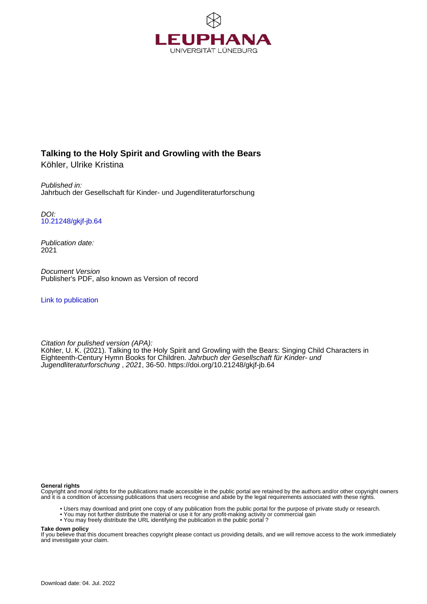

# **Talking to the Holy Spirit and Growling with the Bears**

Köhler, Ulrike Kristina

Published in: Jahrbuch der Gesellschaft für Kinder- und Jugendliteraturforschung

DOI: [10.21248/gkjf-jb.64](https://doi.org/10.21248/gkjf-jb.64)

Publication date: 2021

Document Version Publisher's PDF, also known as Version of record

[Link to publication](http://fox.leuphana.de/portal/en/publications/talking-to-the-holy-spirit-and-growling-with-the-bears(e9d4de96-f91c-4348-a3a2-207d92973c88).html)

Citation for pulished version (APA): [Köhler, U. K.](http://fox.leuphana.de/portal/de/persons/ulrike-kristina-koehler(3083c6c5-78a8-41c2-88b2-517feb4fb1e1).html) (2021). [Talking to the Holy Spirit and Growling with the Bears: Singing Child Characters in](http://fox.leuphana.de/portal/de/publications/talking-to-the-holy-spirit-and-growling-with-the-bears(e9d4de96-f91c-4348-a3a2-207d92973c88).html) [Eighteenth-Century Hymn Books for Children](http://fox.leuphana.de/portal/de/publications/talking-to-the-holy-spirit-and-growling-with-the-bears(e9d4de96-f91c-4348-a3a2-207d92973c88).html). [Jahrbuch der Gesellschaft für Kinder- und](http://fox.leuphana.de/portal/de/journals/jahrbuch-der-gesellschaft-fur-kinder-und-jugendliteraturforschung(3cfaf24f-6d62-4130-ba17-eaee5295e0af)/publications.html) [Jugendliteraturforschung](http://fox.leuphana.de/portal/de/journals/jahrbuch-der-gesellschaft-fur-kinder-und-jugendliteraturforschung(3cfaf24f-6d62-4130-ba17-eaee5295e0af)/publications.html) , 2021, 36-50.<https://doi.org/10.21248/gkjf-jb.64>

#### **General rights**

Copyright and moral rights for the publications made accessible in the public portal are retained by the authors and/or other copyright owners and it is a condition of accessing publications that users recognise and abide by the legal requirements associated with these rights.

- Users may download and print one copy of any publication from the public portal for the purpose of private study or research.
- You may not further distribute the material or use it for any profit-making activity or commercial gain
- You may freely distribute the URL identifying the publication in the public portal ?

#### **Take down policy**

If you believe that this document breaches copyright please contact us providing details, and we will remove access to the work immediately and investigate your claim.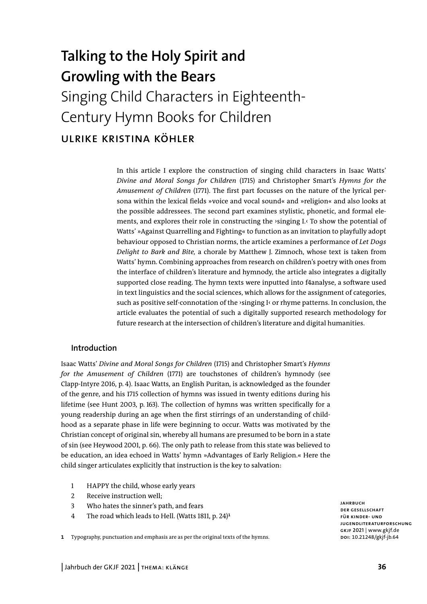# **Talking to the Holy Spirit and Growling with the Bears**  Singing Child Characters in Eighteenth-Century Hymn Books for Children ulrike kristina köhler

In this article I explore the construction of singing child characters in Isaac Watts' *Divine and Moral Songs for Children* (1715) and Christopher Smart's *Hymns for the Amusement of Children* (1771). The first part focusses on the nature of the lyrical persona within the lexical fields »voice and vocal sound« and »religion« and also looks at the possible addressees. The second part examines stylistic, phonetic, and formal elements, and explores their role in constructing the  $\gamma$  singing I. $\gamma$  To show the potential of Watts' »Against Quarrelling and Fighting« to function as an invitation to playfully adopt behaviour opposed to Christian norms, the article examines a performance of *Let Dogs Delight to Bark and Bite,* a chorale by Matthew J. Zimnoch, whose text is taken from Watts' hymn. Combining approaches from research on children's poetry with ones from the interface of children's literature and hymnody, the article also integrates a digitally supported close reading. The hymn texts were inputted into f4analyse, a software used in text linguistics and the social sciences, which allows for the assignment of categories, such as positive self-connotation of the ›singing I‹ or rhyme patterns. In conclusion, the article evaluates the potential of such a digitally supported research methodology for future research at the intersection of children's literature and digital humanities.

#### **Introduction**

Isaac Watts' *Divine and Moral Songs for Children* (1715) and Christopher Smart's *Hymns for the Amusement of Children* (1771) are touchstones of children's hymnody (see Clapp-Intyre 2016, p. 4). Isaac Watts, an English Puritan, is acknowledged as the founder of the genre, and his 1715 collection of hymns was issued in twenty editions during his lifetime (see Hunt 2003, p. 163). The collection of hymns was written specifically for a young readership during an age when the first stirrings of an understanding of childhood as a separate phase in life were beginning to occur. Watts was motivated by the Christian concept of original sin, whereby all humans are presumed to be born in a state of sin (see Heywood 2001, p. 66). The only path to release from this state was believed to be education, an idea echoed in Watts' hymn »Advantages of Early Religion.« Here the child singer articulates explicitly that instruction is the key to salvation:

- 1 HAPPY the child, whose early years
- 2 Receive instruction well;
- 3 Who hates the sinner's path, and fears
- 4 The road which leads to Hell. (Watts 1811, p. 24)**<sup>1</sup>**
- **1** Typography, punctuation and emphasis are as per the original texts of the hymns.

**jahrbuch der gesellschaft für kinder- und jugendliteraturforschung gkjf 2021** | www.gkjf.de **doi:** 10.21248/gkjf-jb.64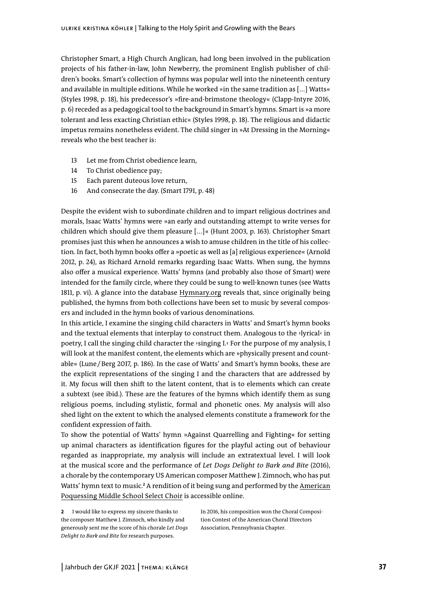Christopher Smart, a High Church Anglican, had long been involved in the publication projects of his father-in-law, John Newberry, the prominent English publisher of children's books. Smart's collection of hymns was popular well into the nineteenth century and available in multiple editions. While he worked »in the same tradition as [...] Watts« (Styles 1998, p. 18), his predecessor's »fire-and-brimstone theology« (Clapp-Intyre 2016, p. 6) receded as a pedagogical tool to the background in Smart's hymns. Smart is »a more tolerant and less exacting Christian ethic« (Styles 1998, p. 18). The religious and didactic impetus remains nonetheless evident. The child singer in »At Dressing in the Morning« reveals who the best teacher is:

- 13 Let me from Christ obedience learn,
- 14 To Christ obedience pay;
- 15 Each parent duteous love return,
- 16 And consecrate the day. (Smart 1791, p. 48)

Despite the evident wish to subordinate children and to impart religious doctrines and morals, Isaac Watts' hymns were »an early and outstanding attempt to write verses for children which should give them pleasure [...]« (Hunt 2003, p. 163). Christopher Smart promises just this when he announces a wish to amuse children in the title of his collection. In fact, both hymn books offer a »poetic as well as [a] religious experience« (Arnold 2012, p. 24), as Richard Arnold remarks regarding Isaac Watts. When sung, the hymns also offer a musical experience. Watts' hymns (and probably also those of Smart) were intended for the family circle, where they could be sung to well-known tunes (see Watts 1811, p. vi). A glance into the database [Hymnary.org](https://hymnary.org/) reveals that, since originally being published, the hymns from both collections have been set to music by several composers and included in the hymn books of various denominations.

In this article, I examine the singing child characters in Watts' and Smart's hymn books and the textual elements that interplay to construct them. Analogous to the >lyrical< in poetry, I call the singing child character the ›singing I.‹ For the purpose of my analysis, I will look at the manifest content, the elements which are »physically present and countable« (Lune/Berg 2017, p. 186). In the case of Watts' and Smart's hymn books, these are the explicit representations of the singing I and the characters that are addressed by it. My focus will then shift to the latent content, that is to elements which can create a subtext (see ibid.). These are the features of the hymns which identify them as sung religious poems, including stylistic, formal and phonetic ones. My analysis will also shed light on the extent to which the analysed elements constitute a framework for the confident expression of faith.

To show the potential of Watts' hymn »Against Quarrelling and Fighting« for setting up animal characters as identification figures for the playful acting out of behaviour regarded as inappropriate, my analysis will include an extratextual level. I will look at the musical score and the performance of *Let Dogs Delight to Bark and Bite* (2016), a chorale by the contemporary US American composer Matthew J. Zimnoch, who has put Watts' hymn text to music.<sup>2</sup> A rendition of it being sung and performed by the <u>American</u> [Poquessing Middle School Select Choir](https://www.youtube.com/watch?v=FBpv67ViRQw) is accessible online.

**2** I would like to express my sincere thanks to the composer Matthew J. Zimnoch, who kindly and generously sent me the score of his chorale *Let Dogs Delight to Bark and Bite* for research purposes.

In 2016, his composition won the Choral Composition Contest of the American Choral Directors Association, Pennsylvania Chapter.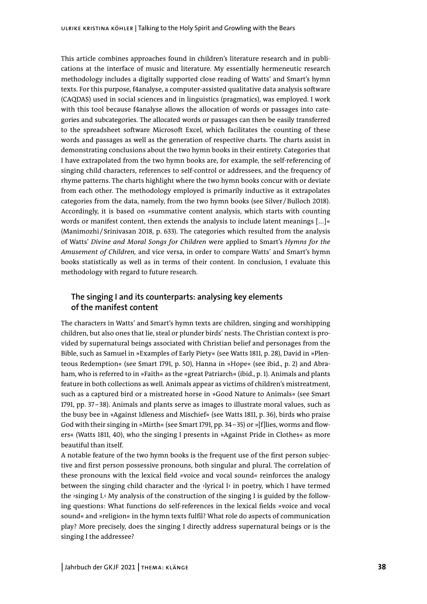This article combines approaches found in children's literature research and in publications at the interface of music and literature. My essentially hermeneutic research methodology includes a digitally supported close reading of Watts' and Smart's hymn texts. For this purpose, f4analyse, a computer-assisted qualitative data analysis software (CAQDAS) used in social sciences and in linguistics (pragmatics), was employed. I work with this tool because f4analyse allows the allocation of words or passages into categories and subcategories. The allocated words or passages can then be easily transferred to the spreadsheet software Microsoft Excel, which facilitates the counting of these words and passages as well as the generation of respective charts. The charts assist in demonstrating conclusions about the two hymn books in their entirety. Categories that I have extrapolated from the two hymn books are, for example, the self-referencing of singing child characters, references to self-control or addressees, and the frequency of rhyme patterns. The charts highlight where the two hymn books concur with or deviate from each other. The methodology employed is primarily inductive as it extrapolates categories from the data, namely, from the two hymn books (see Silver /Bulloch 2018). Accordingly, it is based on »summative content analysis, which starts with counting words or manifest content, then extends the analysis to include latent meanings [...]« (Manimozhi /Srinivasan 2018, p. 633). The categories which resulted from the analysis of Watts' *Divine and Moral Songs for Children* were applied to Smart's *Hymns for the Amusement of Children,* and vice versa, in order to compare Watts' and Smart's hymn books statistically as well as in terms of their content. In conclusion, I evaluate this methodology with regard to future research.

# **The singing I and its counterparts: analysing key elements of the manifest content**

The characters in Watts' and Smart's hymn texts are children, singing and worshipping children, but also ones that lie, steal or plunder birds' nests. The Christian context is provided by supernatural beings associated with Christian belief and personages from the Bible, such as Samuel in »Examples of Early Piety« (see Watts 1811, p. 28), David in »Plenteous Redemption« (see Smart 1791, p. 50), Hanna in »Hope« (see ibid., p. 2) and Abraham, who is referred to in »Faith« as the »great Patriarch« (ibid., p. 1). Animals and plants feature in both collections as well. Animals appear as victims of children's mistreatment, such as a captured bird or a mistreated horse in »Good Nature to Animals« (see Smart 1791, pp. 37 –38). Animals and plants serve as images to illustrate moral values, such as the busy bee in »Against Idleness and Mischief« (see Watts 1811, p. 36), birds who praise God with their singing in »Mirth« (see Smart 1791, pp. 34–35) or »[f]lies, worms and flowers« (Watts 1811, 40), who the singing I presents in »Against Pride in Clothes« as more beautiful than itself.

A notable feature of the two hymn books is the frequent use of the first person subjective and first person possessive pronouns, both singular and plural. The correlation of these pronouns with the lexical field »voice and vocal sound« reinforces the analogy between the singing child character and the  $\lambda$  lyrical I $\kappa$  in poetry, which I have termed the  $\gamma$ singing I. $\gamma$  My analysis of the construction of the singing I is guided by the following questions: What functions do self-references in the lexical fields »voice and vocal sound« and »religion« in the hymn texts fulfil? What role do aspects of communication play? More precisely, does the singing I directly address supernatural beings or is the singing I the addressee?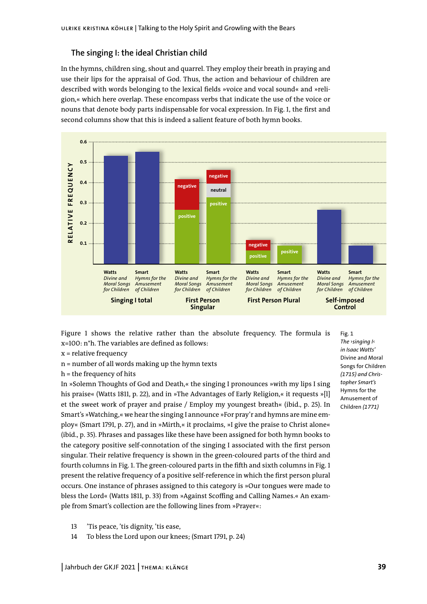# **The singing I: the ideal Christian child**

In the hymns, children sing, shout and quarrel. They employ their breath in praying and use their lips for the appraisal of God. Thus, the action and behaviour of children are described with words belonging to the lexical fields »voice and vocal sound« and »religion,« which here overlap. These encompass verbs that indicate the use of the voice or nouns that denote body parts indispensable for vocal expression. In Fig. 1, the first and second columns show that this is indeed a salient feature of both hymn books.



Figure 1 shows the relative rather than the absolute frequency. The formula is x=100: n\*h. The variables are defined as follows:

- x = relative frequency
- n = number of all words making up the hymn texts
- h = the frequency of hits

In »Solemn Thoughts of God and Death,« the singing I pronounces »with my lips I sing his praise« (Watts 1811, p. 22), and in »The Advantages of Early Religion,« it requests »[l] et the sweet work of prayer and praise / Employ my youngest breath« (ibid., p. 25). In Smart's »Watching,« we hear the singing I announce »For pray'r and hymns are mine employ« (Smart 1791, p. 27), and in »Mirth,« it proclaims, »I give the praise to Christ alone« (ibid., p. 35). Phrases and passages like these have been assigned for both hymn books to the category positive self-connotation of the singing I associated with the first person singular. Their relative frequency is shown in the green-coloured parts of the third and fourth columns in Fig. 1. The green-coloured parts in the fifth and sixth columns in Fig. 1 present the relative frequency of a positive self-reference in which the first person plural occurs. One instance of phrases assigned to this category is »Our tongues were made to bless the Lord« (Watts 1811, p. 33) from »Against Scoffing and Calling Names.« An example from Smart's collection are the following lines from »Prayer«:

13 'Tis peace, 'tis dignity, 'tis ease,

14 To bless the Lord upon our knees; (Smart 1791, p. 24)

Fig. 1 *The* ›*singing I*‹ *in Isaac Watts'*  Divine and Moral Songs for Children *(1715) and Christopher Smart's*  Hymns for the Amusement of Children *(1771)*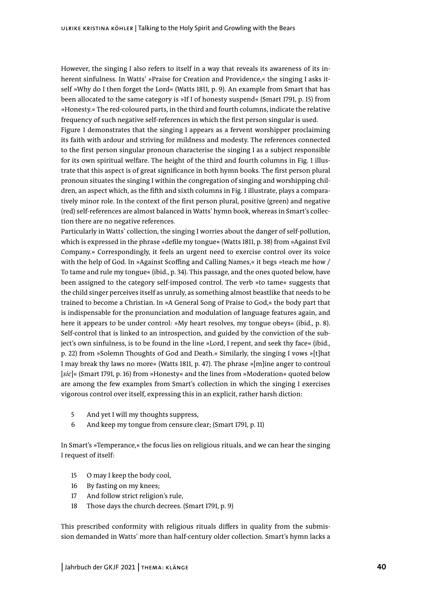However, the singing I also refers to itself in a way that reveals its awareness of its inherent sinfulness. In Watts' »Praise for Creation and Providence,« the singing I asks itself »Why do I then forget the Lord« (Watts 1811, p. 9). An example from Smart that has been allocated to the same category is »If I of honesty suspend« (Smart 1791, p. 15) from »Honesty.« The red-coloured parts, in the third and fourth columns, indicate the relative frequency of such negative self-references in which the first person singular is used.

Figure 1 demonstrates that the singing I appears as a fervent worshipper proclaiming its faith with ardour and striving for mildness and modesty. The references connected to the first person singular pronoun characterise the singing I as a subject responsible for its own spiritual welfare. The height of the third and fourth columns in Fig. 1 illustrate that this aspect is of great significance in both hymn books. The first person plural pronoun situates the singing I within the congregation of singing and worshipping children, an aspect which, as the fifth and sixth columns in Fig. 1 illustrate, plays a comparatively minor role. In the context of the first person plural, positive (green) and negative (red) self-references are almost balanced in Watts' hymn book, whereas in Smart's collection there are no negative references.

Particularly in Watts' collection, the singing I worries about the danger of self-pollution, which is expressed in the phrase »defile my tongue« (Watts 1811, p. 38) from »Against Evil Company.« Correspondingly, it feels an urgent need to exercise control over its voice with the help of God. In »Against Scoffing and Calling Names,« it begs »teach me how / To tame and rule my tongue« (ibid., p. 34). This passage, and the ones quoted below, have been assigned to the category self-imposed control. The verb »to tame« suggests that the child singer perceives itself as unruly, as something almost beastlike that needs to be trained to become a Christian. In »A General Song of Praise to God,« the body part that is indispensable for the pronunciation and modulation of language features again, and here it appears to be under control: »My heart resolves, my tongue obeys« (ibid., p. 8). Self-control that is linked to an introspection, and guided by the conviction of the subject's own sinfulness, is to be found in the line »Lord, I repent, and seek thy face« (ibid., p. 22) from »Solemn Thoughts of God and Death.« Similarly, the singing I vows »[t]hat I may break thy laws no more« (Watts 1811, p. 47). The phrase »[m]ine anger to controul [*sic*]« (Smart 1791, p. 16) from »Honesty« and the lines from »Moderation« quoted below are among the few examples from Smart's collection in which the singing I exercises vigorous control over itself, expressing this in an explicit, rather harsh diction:

- 5 And yet I will my thoughts suppress,
- 6 And keep my tongue from censure clear; (Smart 1791, p. 11)

In Smart's »Temperance,« the focus lies on religious rituals, and we can hear the singing I request of itself:

- 15 O may I keep the body cool,
- 16 By fasting on my knees;
- 17 And follow strict religion's rule,
- 18 Those days the church decrees. (Smart 1791, p. 9)

This prescribed conformity with religious rituals differs in quality from the submission demanded in Watts' more than half-century older collection. Smart's hymn lacks a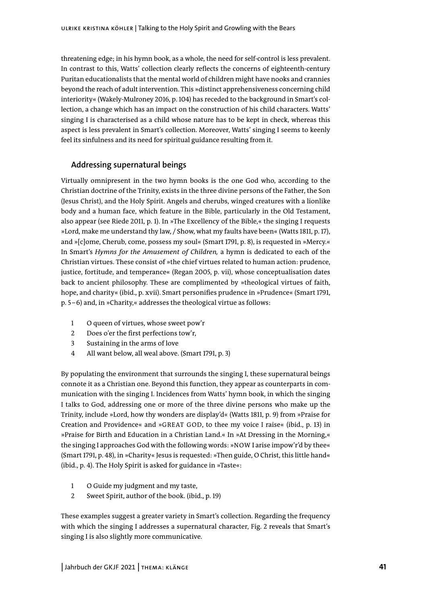threatening edge; in his hymn book, as a whole, the need for self-control is less prevalent. In contrast to this, Watts' collection clearly reflects the concerns of eighteenth-century Puritan educationalists that the mental world of children might have nooks and crannies beyond the reach of adult intervention. This »distinct apprehensiveness concerning child interiority« (Wakely-Mulroney 2016, p. 104) has receded to the background in Smart's collection, a change which has an impact on the construction of his child characters. Watts' singing I is characterised as a child whose nature has to be kept in check, whereas this aspect is less prevalent in Smart's collection. Moreover, Watts' singing I seems to keenly feel its sinfulness and its need for spiritual guidance resulting from it.

## **Addressing supernatural beings**

Virtually omnipresent in the two hymn books is the one God who, according to the Christian doctrine of the Trinity, exists in the three divine persons of the Father, the Son (Jesus Christ), and the Holy Spirit. Angels and cherubs, winged creatures with a lionlike body and a human face, which feature in the Bible, particularly in the Old Testament, also appear (see Riede 2011, p. 1). In »The Excellency of the Bible,« the singing I requests »Lord, make me understand thy law, / Show, what my faults have been« (Watts 1811, p. 17), and »[c]ome, Cherub, come, possess my soul« (Smart 1791, p. 8), is requested in »Mercy.« In Smart's *Hymns for the Amusement of Children,* a hymn is dedicated to each of the Christian virtues. These consist of »the chief virtues related to human action: prudence, justice, fortitude, and temperance« (Regan 2005, p. vii), whose conceptualisation dates back to ancient philosophy. These are complimented by »theological virtues of faith, hope, and charity« (ibid., p. xvii). Smart personifies prudence in »Prudence« (Smart 1791, p. 5–6) and, in »Charity,« addresses the theological virtue as follows:

- 1 O queen of virtues, whose sweet pow'r
- 2 Does o'er the first perfections tow'r,
- 3 Sustaining in the arms of love
- 4 All want below, all weal above. (Smart 1791, p. 3)

By populating the environment that surrounds the singing I, these supernatural beings connote it as a Christian one. Beyond this function, they appear as counterparts in communication with the singing I. Incidences from Watts' hymn book, in which the singing I talks to God, addressing one or more of the three divine persons who make up the Trinity, include »Lord, how thy wonders are display'd« (Watts 1811, p. 9) from »Praise for Creation and Providence« and »GREAT GOD, to thee my voice I raise« (ibid., p. 13) in »Praise for Birth and Education in a Christian Land.« In »At Dressing in the Morning,« the singing I approaches God with the following words: »NOW I arise impow'r'd by thee« (Smart 1791, p. 48), in »Charity« Jesus is requested: »Then guide, O Christ, this little hand« (ibid., p. 4). The Holy Spirit is asked for guidance in »Taste«:

- 1 O Guide my judgment and my taste,
- 2 Sweet Spirit, author of the book. (ibid., p. 19)

These examples suggest a greater variety in Smart's collection. Regarding the frequency with which the singing I addresses a supernatural character, Fig. 2 reveals that Smart's singing I is also slightly more communicative.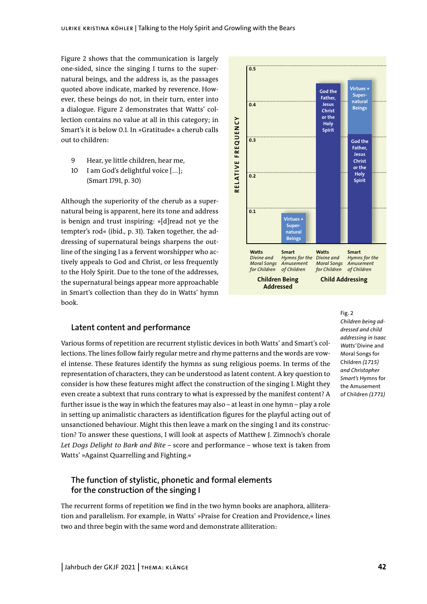Figure 2 shows that the communication is largely one-sided, since the singing I turns to the supernatural beings, and the address is, as the passages quoted above indicate, marked by reverence. However, these beings do not, in their turn, enter into a dialogue. Figure 2 demonstrates that Watts' collection contains no value at all in this category; in Smart's it is below 0.1. In »Gratitude« a cherub calls out to children:

- 9 Hear, ye little children, hear me,
- 10 I am God's delightful voice [...]; (Smart 1791, p. 30)

Although the superiority of the cherub as a supernatural being is apparent, here its tone and address is benign and trust inspiring: »[d]read not ye the tempter's rod« (ibid., p. 31). Taken together, the addressing of supernatural beings sharpens the outline of the singing I as a fervent worshipper who actively appeals to God and Christ, or less frequently to the Holy Spirit. Due to the tone of the addresses, the supernatural beings appear more approachable in Smart's collection than they do in Watts' hymn book.

# **Latent content and performance**

Various forms of repetition are recurrent stylistic devices in both Watts' and Smart's collections. The lines follow fairly regular metre and rhyme patterns and the words are vowel intense. These features identify the hymns as sung religious poems. In terms of the representation of characters, they can be understood as latent content. A key question to consider is how these features might affect the construction of the singing I. Might they even create a subtext that runs contrary to what is expressed by the manifest content? A further issue is the way in which the features may also – at least in one hymn – play a role in setting up animalistic characters as identification figures for the playful acting out of unsanctioned behaviour. Might this then leave a mark on the singing I and its construction? To answer these questions, I will look at aspects of Matthew J. Zimnoch's chorale *Let Dogs Delight to Bark and Bite –* score and performance – whose text is taken from Watts' »Against Quarrelling and Fighting.«

# **The function of stylistic, phonetic and formal elements for the construction of the singing I**

The recurrent forms of repetition we find in the two hymn books are anaphora, alliteration and parallelism. For example, in Watts' »Praise for Creation and Providence,« lines two and three begin with the same word and demonstrate alliteration:



Fig. 2 *Children being addressed and child addressing in Isaac Watts'* Divine and Moral Songs for Children *(1715) and Christopher Smart's* Hymns for the Amusement of Children *(1771)*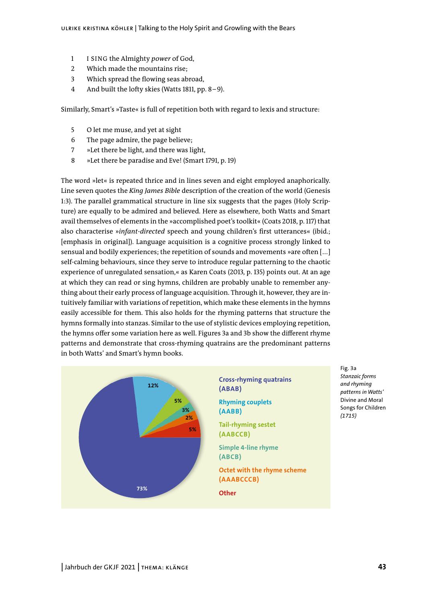- 1 I SING the Almighty *power* of God,
- 2 Which made the mountains rise;
- 3 Which spread the flowing seas abroad,
- 4 And built the lofty skies (Watts 1811, pp. 8–9).

Similarly, Smart's »Taste« is full of repetition both with regard to lexis and structure:

- 5 O let me muse, and yet at sight
- 6 The page admire, the page believe;
- 7 »Let there be light, and there was light,
- 8 »Let there be paradise and Eve! (Smart 1791, p. 19)

The word »let« is repeated thrice and in lines seven and eight employed anaphorically. Line seven quotes the *King James Bible* description of the creation of the world (Genesis 1:3). The parallel grammatical structure in line six suggests that the pages (Holy Scripture) are equally to be admired and believed. Here as elsewhere, both Watts and Smart avail themselves of elements in the »accomplished poet's toolkit« (Coats 2018, p. 117) that also characterise »*infant-directed* speech and young children's first utterances« (ibid.; [emphasis in original]). Language acquisition is a cognitive process strongly linked to sensual and bodily experiences; the repetition of sounds and movements »are often [...] self-calming behaviours, since they serve to introduce regular patterning to the chaotic experience of unregulated sensation,« as Karen Coats (2013, p. 135) points out. At an age at which they can read or sing hymns, children are probably unable to remember anything about their early process of language acquisition. Through it, however, they are intuitively familiar with variations of repetition, which make these elements in the hymns easily accessible for them. This also holds for the rhyming patterns that structure the hymns formally into stanzas. Similar to the use of stylistic devices employing repetition, the hymns offer some variation here as well. Figures 3a and 3b show the different rhyme patterns and demonstrate that cross-rhyming quatrains are the predominant patterns in both Watts' and Smart's hymn books.



Fig. 3a *Stanzaic forms and rhyming patterns in Watts'*  Divine and Moral Songs for Children *(1715)*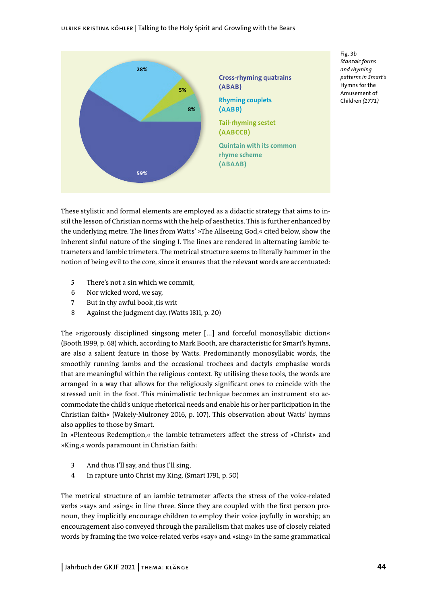

Fig. 3b *Stanzaic forms and rhyming patterns in Smart's*  Hymns for the Amusement of Children *(1771)*

These stylistic and formal elements are employed as a didactic strategy that aims to instil the lesson of Christian norms with the help of aesthetics. This is further enhanced by the underlying metre. The lines from Watts' »The Allseeing God,« cited below, show the inherent sinful nature of the singing I. The lines are rendered in alternating iambic tetrameters and iambic trimeters. The metrical structure seems to literally hammer in the notion of being evil to the core, since it ensures that the relevant words are accentuated:

- 5 There's not a sin which we commit,
- 6 Nor wicked word, we say,
- 7 But in thy awful book, tis writ
- 8 Against the judgment day. (Watts 1811, p. 20)

The »rigorously disciplined singsong meter [...] and forceful monosyllabic diction« (Booth 1999, p. 68) which, according to Mark Booth, are characteristic for Smart's hymns, are also a salient feature in those by Watts. Predominantly monosyllabic words, the smoothly running iambs and the occasional trochees and dactyls emphasise words that are meaningful within the religious context. By utilising these tools, the words are arranged in a way that allows for the religiously significant ones to coincide with the stressed unit in the foot. This minimalistic technique becomes an instrument »to accommodate the child's unique rhetorical needs and enable his or her participation in the Christian faith« (Wakely-Mulroney 2016, p. 107). This observation about Watts' hymns also applies to those by Smart.

In »Plenteous Redemption,« the iambic tetrameters affect the stress of »Christ« and »King,« words paramount in Christian faith:

- 3 And thus I'll say, and thus I'll sing,
- 4 In rapture unto Christ my King. (Smart 1791, p. 50)

The metrical structure of an iambic tetrameter affects the stress of the voice-related verbs »say« and »sing« in line three. Since they are coupled with the first person pronoun, they implicitly encourage children to employ their voice joyfully in worship; an encouragement also conveyed through the parallelism that makes use of closely related words by framing the two voice-related verbs »say« and »sing« in the same grammatical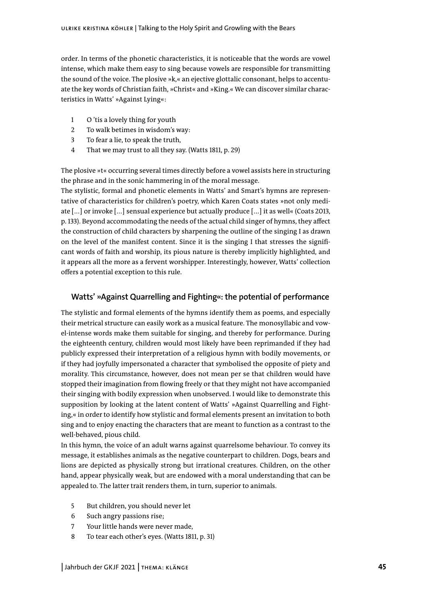order. In terms of the phonetic characteristics, it is noticeable that the words are vowel intense, which make them easy to sing because vowels are responsible for transmitting the sound of the voice. The plosive »k,« an ejective glottalic consonant, helps to accentuate the key words of Christian faith, »Christ« and »King.« We can discover similar characteristics in Watts' »Against Lying«:

- 1 O 'tis a lovely thing for youth
- 2 To walk betimes in wisdom's way:
- 3 To fear a lie, to speak the truth,
- 4 That we may trust to all they say. (Watts 1811, p. 29)

The plosive »t« occurring several times directly before a vowel assists here in structuring the phrase and in the sonic hammering in of the moral message.

The stylistic, formal and phonetic elements in Watts' and Smart's hymns are representative of characteristics for children's poetry, which Karen Coats states »not only mediate [...] or invoke [...] sensual experience but actually produce [...] it as well« (Coats 2013, p. 133). Beyond accommodating the needs of the actual child singer of hymns, they affect the construction of child characters by sharpening the outline of the singing I as drawn on the level of the manifest content. Since it is the singing I that stresses the significant words of faith and worship, its pious nature is thereby implicitly highlighted, and it appears all the more as a fervent worshipper. Interestingly, however, Watts' collection offers a potential exception to this rule.

# **Watts' »Against Quarrelling and Fighting«: the potential of performance**

The stylistic and formal elements of the hymns identify them as poems, and especially their metrical structure can easily work as a musical feature. The monosyllabic and vowel-intense words make them suitable for singing, and thereby for performance. During the eighteenth century, children would most likely have been reprimanded if they had publicly expressed their interpretation of a religious hymn with bodily movements, or if they had joyfully impersonated a character that symbolised the opposite of piety and morality. This circumstance, however, does not mean per se that children would have stopped their imagination from flowing freely or that they might not have accompanied their singing with bodily expression when unobserved. I would like to demonstrate this supposition by looking at the latent content of Watts' »Against Quarrelling and Fighting,« in order to identify how stylistic and formal elements present an invitation to both sing and to enjoy enacting the characters that are meant to function as a contrast to the well-behaved, pious child.

In this hymn, the voice of an adult warns against quarrelsome behaviour. To convey its message, it establishes animals as the negative counterpart to children. Dogs, bears and lions are depicted as physically strong but irrational creatures. Children, on the other hand, appear physically weak, but are endowed with a moral understanding that can be appealed to. The latter trait renders them, in turn, superior to animals.

- 5 But children, you should never let
- 6 Such angry passions rise;
- 7 Your little hands were never made,
- 8 To tear each other's eyes. (Watts 1811, p. 31)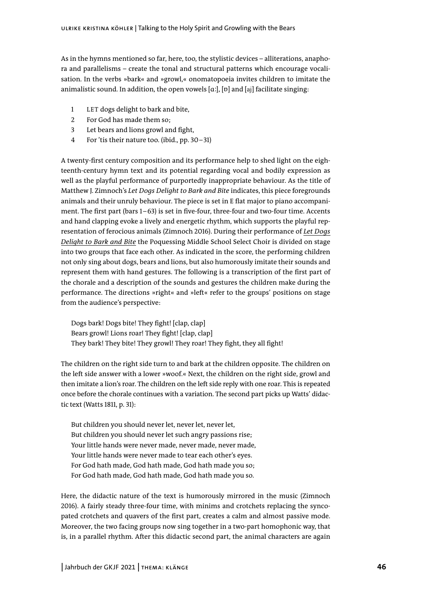As in the hymns mentioned so far, here, too, the stylistic devices – alliterations, anaphora and parallelisms – create the tonal and structural patterns which encourage vocalisation. In the verbs »bark« and »growl,« onomatopoeia invites children to imitate the animalistic sound. In addition, the open vowels [ɑː], [ɒ] and [aj] facilitate singing:

- 1 LET dogs delight to bark and bite,
- 2 For God has made them so;
- 3 Let bears and lions growl and fight,
- 4 For 'tis their nature too. (ibid., pp. 30–31)

A twenty-first century composition and its performance help to shed light on the eighteenth-century hymn text and its potential regarding vocal and bodily expression as well as the playful performance of purportedly inappropriate behaviour. As the title of Matthew J. Zimnoch's *Let Dogs Delight to Bark and Bite* indicates, this piece foregrounds animals and their unruly behaviour. The piece is set in E flat major to piano accompaniment. The first part (bars 1–63) is set in five-four, three-four and two-four time. Accents and hand clapping evoke a lively and energetic rhythm, which supports the playful representation of ferocious animals (Zimnoch 2016). During their performance of *[Let Dogs](https://www.youtube.com/watch?v=FBpv67ViRQw)  [Delight to Bark and Bite](https://www.youtube.com/watch?v=FBpv67ViRQw)* the Poquessing Middle School Select Choir is divided on stage into two groups that face each other. As indicated in the score, the performing children not only sing about dogs, bears and lions, but also humorously imitate their sounds and represent them with hand gestures. The following is a transcription of the first part of the chorale and a description of the sounds and gestures the children make during the performance. The directions »right« and »left« refer to the groups' positions on stage from the audience's perspective: annualsuc sounta, in a topent vowers [a:3, [v] and [a] and [a] and [a] 1171 diversion and the and bitsel relations and the signality to burk and bitsel relations and the animal characters are also are the constrained bits

Dogs bark! Dogs bite! They fight! [clap, clap] Bears growl! Lions roar! They fight! [clap, clap] They bark! They bite! They growl! They roar! They fight, they all fight!

The children on the right side turn to and bark at the children opposite. The children on the left side answer with a lower »woof.« Next, the children on the right side, growl and then imitate a lion's roar. The children on the left side reply with one roar. This is repeated once before the chorale continues with a variation. The second part picks up Watts' didactic text (Watts 1811, p. 31):

But children you should never let, never let, never let, But children you should never let such angry passions rise; Your little hands were never made, never made, never made, Your little hands were never made to tear each other's eyes. For God hath made, God hath made, God hath made you so; For God hath made, God hath made, God hath made you so.

Here, the didactic nature of the text is humorously mirrored in the music (Zimnoch 2016). A fairly steady three-four time, with minims and crotchets replacing the syncopated crotchets and quavers of the first part, creates a calm and almost passive mode. Moreover, the two facing groups now sing together in a two-part homophonic way, that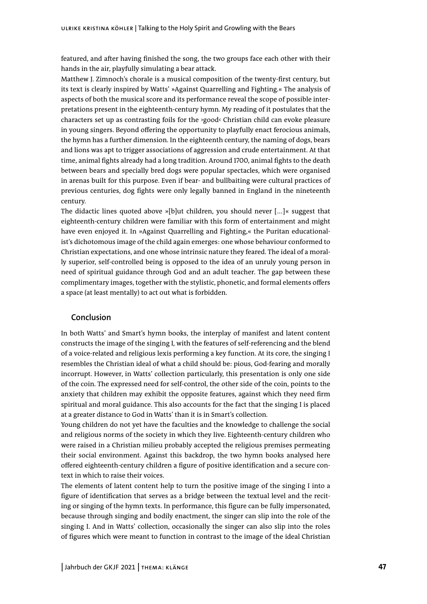featured, and after having finished the song, the two groups face each other with their hands in the air, playfully simulating a bear attack.

Matthew J. Zimnoch's chorale is a musical composition of the twenty-first century, but its text is clearly inspired by Watts' »Against Quarrelling and Fighting.« The analysis of aspects of both the musical score and its performance reveal the scope of possible interpretations present in the eighteenth-century hymn. My reading of it postulates that the characters set up as contrasting foils for the ›good‹ Christian child can evoke pleasure in young singers. Beyond offering the opportunity to playfully enact ferocious animals, the hymn has a further dimension. In the eighteenth century, the naming of dogs, bears and lions was apt to trigger associations of aggression and crude entertainment. At that time, animal fights already had a long tradition. Around 1700, animal fights to the death between bears and specially bred dogs were popular spectacles, which were organised in arenas built for this purpose. Even if bear- and bullbaiting were cultural practices of previous centuries, dog fights were only legally banned in England in the nineteenth century.

The didactic lines quoted above »[b]ut children, you should never  $[\ldots]$  « suggest that eighteenth-century children were familiar with this form of entertainment and might have even enjoyed it. In »Against Quarrelling and Fighting,« the Puritan educationalist's dichotomous image of the child again emerges: one whose behaviour conformed to Christian expectations, and one whose intrinsic nature they feared. The ideal of a morally superior, self-controlled being is opposed to the idea of an unruly young person in need of spiritual guidance through God and an adult teacher. The gap between these complimentary images, together with the stylistic, phonetic, and formal elements offers a space (at least mentally) to act out what is forbidden.

# **Conclusion**

In both Watts' and Smart's hymn books, the interplay of manifest and latent content constructs the image of the singing I, with the features of self-referencing and the blend of a voice-related and religious lexis performing a key function. At its core, the singing I resembles the Christian ideal of what a child should be: pious, God-fearing and morally incorrupt. However, in Watts' collection particularly, this presentation is only one side of the coin. The expressed need for self-control, the other side of the coin, points to the anxiety that children may exhibit the opposite features, against which they need firm spiritual and moral guidance. This also accounts for the fact that the singing I is placed at a greater distance to God in Watts' than it is in Smart's collection.

Young children do not yet have the faculties and the knowledge to challenge the social and religious norms of the society in which they live. Eighteenth-century children who were raised in a Christian milieu probably accepted the religious premises permeating their social environment. Against this backdrop, the two hymn books analysed here offered eighteenth-century children a figure of positive identification and a secure context in which to raise their voices.

The elements of latent content help to turn the positive image of the singing I into a figure of identification that serves as a bridge between the textual level and the reciting or singing of the hymn texts. In performance, this figure can be fully impersonated, because through singing and bodily enactment, the singer can slip into the role of the singing I. And in Watts' collection, occasionally the singer can also slip into the roles of figures which were meant to function in contrast to the image of the ideal Christian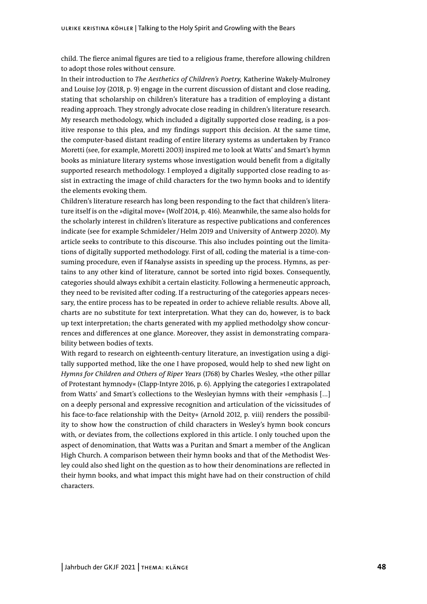child. The fierce animal figures are tied to a religious frame, therefore allowing children to adopt those roles without censure.

In their introduction to *The Aesthetics of Children's Poetry,* Katherine Wakely-Mulroney and Louise Joy (2018, p. 9) engage in the current discussion of distant and close reading, stating that scholarship on children's literature has a tradition of employing a distant reading approach. They strongly advocate close reading in children's literature research. My research methodology, which included a digitally supported close reading, is a positive response to this plea, and my findings support this decision. At the same time, the computer-based distant reading of entire literary systems as undertaken by Franco Moretti (see, for example, Moretti 2003) inspired me to look at Watts' and Smart's hymn books as miniature literary systems whose investigation would benefit from a digitally supported research methodology. I employed a digitally supported close reading to assist in extracting the image of child characters for the two hymn books and to identify the elements evoking them.

Children's literature research has long been responding to the fact that children's literature itself is on the »digital move« (Wolf 2014, p. 416). Meanwhile, the same also holds for the scholarly interest in children's literature as respective publications and conferences indicate (see for example Schmideler /Helm 2019 and University of Antwerp 2020). My article seeks to contribute to this discourse. This also includes pointing out the limitations of digitally supported methodology. First of all, coding the material is a time-consuming procedure, even if f4analyse assists in speeding up the process. Hymns, as pertains to any other kind of literature, cannot be sorted into rigid boxes. Consequently, categories should always exhibit a certain elasticity. Following a hermeneutic approach, they need to be revisited after coding. If a restructuring of the categories appears necessary, the entire process has to be repeated in order to achieve reliable results. Above all, charts are no substitute for text interpretation. What they can do, however, is to back up text interpretation; the charts generated with my applied methodolgy show concurrences and differences at one glance. Moreover, they assist in demonstrating comparability between bodies of texts.

With regard to research on eighteenth-century literature, an investigation using a digitally supported method, like the one I have proposed, would help to shed new light on *Hymns for Children and Others of Riper Years* (1768) by Charles Wesley, »the other pillar of Protestant hymnody« (Clapp-Intyre 2016, p. 6). Applying the categories I extrapolated from Watts' and Smart's collections to the Wesleyian hymns with their »emphasis [...] on a deeply personal and expressive recognition and articulation of the vicissitudes of his face-to-face relationship with the Deity« (Arnold 2012, p. viii) renders the possibility to show how the construction of child characters in Wesley's hymn book concurs with, or deviates from, the collections explored in this article. I only touched upon the aspect of denomination, that Watts was a Puritan and Smart a member of the Anglican High Church. A comparison between their hymn books and that of the Methodist Wesley could also shed light on the question as to how their denominations are reflected in their hymn books, and what impact this might have had on their construction of child characters.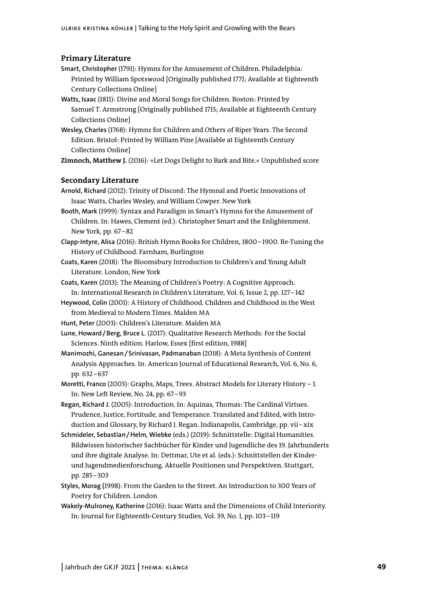# **Primary Literature**

- **Smart, Christopher** (1791): Hymns for the Amusement of Children. Philadelphia: Printed by William Spotswood [Originally published 1771; Available at Eighteenth Century Collections Online]
- **Watts, Isaac** (1811): Divine and Moral Songs for Children. Boston: Printed by Samuel T. Armstrong [Originally published 1715; Available at Eighteenth Century Collections Online]
- **Wesley, Charles** (1768): Hymns for Children and Others of Riper Years. The Second Edition. Bristol: Printed by William Pine [Available at Eighteenth Century Collections Online]

**Zimnoch, Matthew J.** (2016): »Let Dogs Delight to Bark and Bite.« Unpublished score

## **Secondary Literature**

**Arnold, Richard** (2012): Trinity of Discord: The Hymnal and Poetic Innovations of Isaac Watts, Charles Wesley, and William Cowper. New York

**Booth, Mark** (1999): Syntax and Paradigm in Smart's Hymns for the Amusement of Children. In: Hawes, Clement (ed.): Christopher Smart and the Enlightenment. New York, pp. 67-82

- **Clapp-Intyre, Alisa** (2016): British Hymn Books for Children, 1800–1900. Re-Tuning the History of Childhood. Farnham, Burlington
- **Coats, Karen** (2018): The Bloomsbury Introduction to Children's and Young Adult Literature. London, New York
- **Coats, Karen** (2013): The Meaning of Children's Poetry: A Cognitive Approach. In: International Research in Children's Literature, Vol. 6, Issue 2, pp. 127–142
- **Heywood, Colin** (2001): A History of Childhood. Children and Childhood in the West from Medieval to Modern Times. Malden MA

**Hunt, Peter** (2003): Children's Literature. Malden MA

**Lune, Howard/Berg, Bruce L.** (2017): Qualitative Research Methods: For the Social Sciences. Ninth edition. Harlow, Essex [first edition, 1988]

- **Manimozhi, Ganesan/Srinivasan, Padmanaban** (2018): A Meta Synthesis of Content Analysis Approaches. In: American Journal of Educational Research, Vol. 6, No. 6, pp. 632–637
- **Moretti, Franco** (2003): Graphs, Maps, Trees. Abstract Models for Literary History 1. In: New Left Review, No. 24, pp. 67 –93
- **Regan, Richard J.** (2005): Introduction. In: Aquinas, Thomas: The Cardinal Virtues. Prudence, Justice, Fortitude, and Temperance. Translated and Edited, with Introduction and Glossary, by Richard J. Regan. Indianapolis, Cambridge, pp. vii–xix
- **Schmideler, Sebastian/Helm, Wiebke** (eds.) (2019): Schnittstelle: Digital Humanities. Bildwissen historischer Sachbücher für Kinder und Jugendliche des 19. Jahrhunderts und ihre digitale Analyse. In: Dettmar, Ute et al. (eds.): Schnittstellen der Kinderund Jugendmedienforschung. Aktuelle Positionen und Perspektiven. Stuttgart, pp. 285– 303
- **Styles, Morag (**1998): From the Garden to the Street. An Introduction to 300 Years of Poetry for Children. London
- **Wakely-Mulroney, Katherine** (2016): Isaac Watts and the Dimensions of Child Interiority. In: Journal for Eighteenth-Century Studies, Vol. 39, No. 1, pp. 103–119